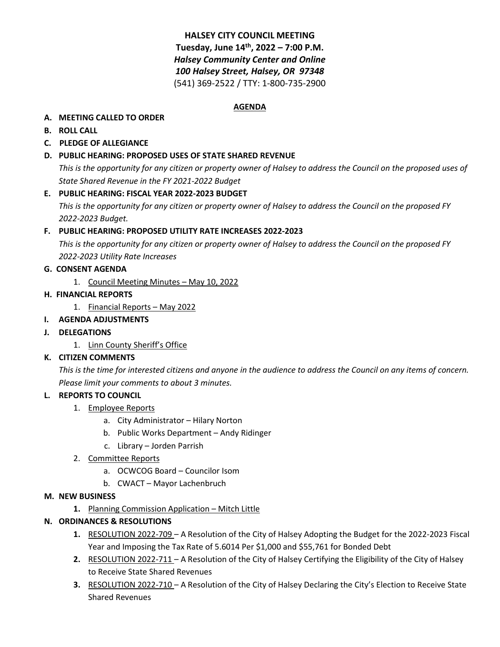# **HALSEY CITY COUNCIL MEETING Tuesday, June 14th, 2022 – 7:00 P.M.** *Halsey Community Center and Online 100 Halsey Street, Halsey, OR 97348* (541) 369-2522 / TTY: 1-800-735-2900

#### **AGENDA**

### **A. MEETING CALLED TO ORDER**

**B. ROLL CALL**

# **C. PLEDGE OF ALLEGIANCE**

# **D. PUBLIC HEARING: PROPOSED USES OF STATE SHARED REVENUE**

*This is the opportunity for any citizen or property owner of Halsey to address the Council on the proposed uses of State Shared Revenue in the FY 2021-2022 Budget*

# **E. PUBLIC HEARING: FISCAL YEAR 2022-2023 BUDGET**

*This is the opportunity for any citizen or property owner of Halsey to address the Council on the proposed FY 2022-2023 Budget.*

# **F. PUBLIC HEARING: PROPOSED UTILITY RATE INCREASES 2022-2023**

*This is the opportunity for any citizen or property owner of Halsey to address the Council on the proposed FY 2022-2023 Utility Rate Increases*

# **G. CONSENT AGENDA**

1. Council Meeting Minutes – May 10, 2022

# **H. FINANCIAL REPORTS**

1. Financial Reports – May 2022

# **I. AGENDA ADJUSTMENTS**

- **J. DELEGATIONS**
	- 1. Linn County Sheriff's Office

# **K. CITIZEN COMMENTS**

*This is the time for interested citizens and anyone in the audience to address the Council on any items of concern. Please limit your comments to about 3 minutes.* 

#### **L. REPORTS TO COUNCIL**

- 1. Employee Reports
	- a. City Administrator Hilary Norton
	- b. Public Works Department Andy Ridinger
	- c. Library Jorden Parrish
- 2. Committee Reports
	- a. OCWCOG Board Councilor Isom
	- b. CWACT Mayor Lachenbruch

#### **M. NEW BUSINESS**

**1.** Planning Commission Application – Mitch Little

# **N. ORDINANCES & RESOLUTIONS**

- **1.** RESOLUTION 2022-709 A Resolution of the City of Halsey Adopting the Budget for the 2022-2023 Fiscal Year and Imposing the Tax Rate of 5.6014 Per \$1,000 and \$55,761 for Bonded Debt
- **2.** RESOLUTION 2022-711 A Resolution of the City of Halsey Certifying the Eligibility of the City of Halsey to Receive State Shared Revenues
- **3.** RESOLUTION 2022-710 A Resolution of the City of Halsey Declaring the City's Election to Receive State Shared Revenues